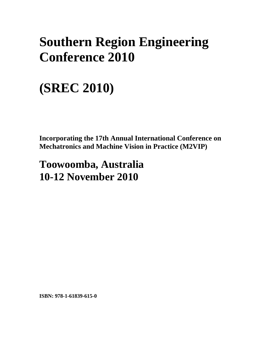## **Southern Region Engineering Conference 2010**

# **(SREC 2010)**

**Incorporating the 17th Annual International Conference on Mechatronics and Machine Vision in Practice (M2VIP)** 

### **Toowoomba, Australia 10-12 November 2010**

**ISBN: 978-1-61839-615-0**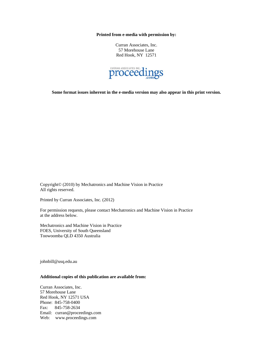**Printed from e-media with permission by:** 

Curran Associates, Inc. 57 Morehouse Lane Red Hook, NY 12571



**Some format issues inherent in the e-media version may also appear in this print version.** 

Copyright© (2010) by Mechatronics and Machine Vision in Practice All rights reserved.

Printed by Curran Associates, Inc. (2012)

For permission requests, please contact Mechatronics and Machine Vision in Practice at the address below.

Mechatronics and Machine Vision in Practice FOES, University of South Queensland Toowoomba QLD 4350 Australia

johnbill@usq.edu.au

#### **Additional copies of this publication are available from:**

Curran Associates, Inc. 57 Morehouse Lane Red Hook, NY 12571 USA Phone: 845-758-0400 Fax: 845-758-2634 Email: curran@proceedings.com Web: www.proceedings.com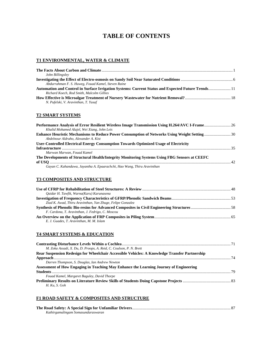### **TABLE OF CONTENTS**

#### **T1 ENVIRONMENTAL, WATER & CLIMATE**

| John Billingsley                                                                                  |  |
|---------------------------------------------------------------------------------------------------|--|
|                                                                                                   |  |
| Abdurrahman F. S. Huweg, Fouad Kamel, Steven Raine                                                |  |
| Automation and Control in Surface Irrigation Systems: Current Status and Expected Future Trends11 |  |
| Richard Koech, Rod Smith, Malcolm Gillies                                                         |  |
|                                                                                                   |  |
| N. Pufelski, V. Aravinthan, T. Yusaf                                                              |  |
|                                                                                                   |  |

#### **T2 SMART SYSTEMS**

| Performance Analysis of Error Resilient Wireless Image Transmission Using H.264/AVC I-Frame 26       |  |
|------------------------------------------------------------------------------------------------------|--|
| Khalid Mohamed Alajel, Wei Xiang, John Leis                                                          |  |
| <b>Enhance Heuristic Mechanisms to Reduce Power Consumption of Networks Using Weight Setting  30</b> |  |
| Abdelnour Aldraho, Alexander A. Kist                                                                 |  |
| User-Controlled Electrical Energy Consumption Towards Optimized Usage of Electricity                 |  |
|                                                                                                      |  |
| Marwan Marwan, Fouad Kamel                                                                           |  |
| The Developments of Structural Health/Integrity Monitoring Systems Using FBG Sensors at CEEFC        |  |
|                                                                                                      |  |
| Gayan C. Kahandawa, Jayantha A. Epaarachchi, Hao Wang, Thiru Aravinthan                              |  |

#### **T3 COMPOSITES AND STRUCTURE**

| Oaidar H. Tawfik, Warna(Karu) Karunasena                   |  |
|------------------------------------------------------------|--|
|                                                            |  |
| Ziad K. Awad, Thiru Aravinthan, Yan Zhuge, Felipe Gonzalez |  |
|                                                            |  |
| F. Cardona, T. Aravinthan, J. Fedrigo, C. Moscou           |  |
|                                                            |  |
| E. J. Guades, T. Aravinthan, M. M. Islam                   |  |

#### **T4 SMART SYSTEMS & EDUCATION**

| M. Zoka Assadi, X. Du, D. Proops, A. Reid, C. Coulson, P. N. Brett                            |  |
|-----------------------------------------------------------------------------------------------|--|
| Rear Suspension Redesign for Wheelchair Accessible Vehicles: A Knowledge Transfer Partnership |  |
|                                                                                               |  |
| Darren Thompson, S. Douglas, Ian Andrew Newton                                                |  |
| Assessment of How Engaging in Teaching May Enhance the Learning Journey of Engineering        |  |
|                                                                                               |  |
| Fouad Kamel, Margaret Baguley, David Thorpe                                                   |  |
|                                                                                               |  |
| H. Ku. S. Goh                                                                                 |  |

#### **F1 ROAD SAFETY & COMPOSITES AND STRUCTURE**

| Kathirgamalingam Somasundaraswaran |  |
|------------------------------------|--|